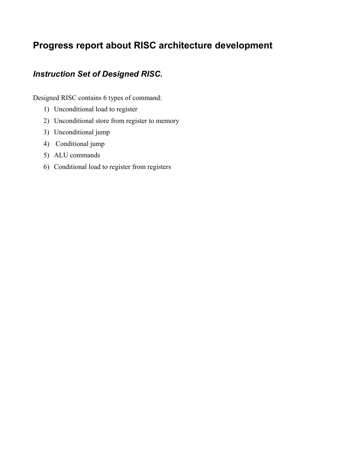# **Progress report about RISC architecture development**

### *Instruction Set of Designed RISC.*

Designed RISC contains 6 types of command:

- 1) Unconditional load to register
- 2) Unconditional store from register to memory
- 3) Unconditional jump
- 4) Conditional jump
- 5) ALU commands
- 6) Conditional load to register from registers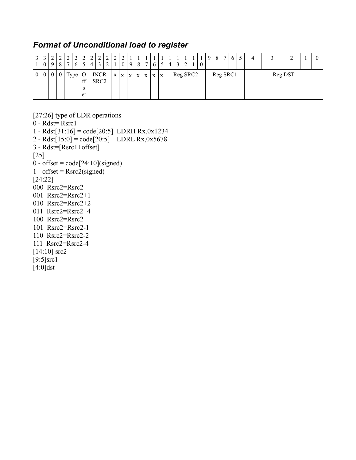### *Format of Unconditional load to register*

| $\rightarrow$  | $\mathbf{0}$     | ↑<br>9           | ↑<br>8           | C<br>$\overline{ }$ | ↑    | $\mathcal{D}$             | $\mathcal{D}$<br>4 | C                               | $\mathcal{D}$ | $\mathcal{D}$ | $\gamma$<br>$\boldsymbol{0}$ | 9 | $\mathbf{1}$ | $\mathbf{1}$<br>$\overline{ }$ |             |             |          |  | -1 | $\mathbf Q$ | 8        | $\mathbf{r}$ | $\sigma$ |  | $\sim$  | v |
|----------------|------------------|------------------|------------------|---------------------|------|---------------------------|--------------------|---------------------------------|---------------|---------------|------------------------------|---|--------------|--------------------------------|-------------|-------------|----------|--|----|-------------|----------|--------------|----------|--|---------|---|
| 0 <sup>1</sup> | $\boldsymbol{0}$ | $\boldsymbol{0}$ | $\boldsymbol{0}$ |                     | Type | $\rm _O$<br>ff<br>S<br>et |                    | <b>INCR</b><br>SRC <sub>2</sub> |               | X             | $\mathbf{X}$                 |   | X X          | $\mathbf{X}$                   | $\mathbf X$ | $\mathbf X$ | Reg SRC2 |  |    |             | Reg SRC1 |              |          |  | Reg DST |   |

[27:26] type of LDR operations 0 - Rdst= Rsrc1 1 - Rdst[31:16] = code[20:5] LDRH Rx,0x1234 2 - Rdst[ $15:0$ ] = code[ $20:5$ ] LDRL Rx,0x5678  $3 - Rdst = [Rsrc1 + offset]$ [25]  $0 - \text{offset} = \text{code}[24:10](\text{signed})$  $1 - \text{offset} = \text{Rsrc2}(\text{signed})$ [24:22] 000 Rsrc2=Rsrc2 001 Rsrc2=Rsrc2+1 010 Rsrc2=Rsrc2+2 011 Rsrc2=Rsrc2+4 100 Rsrc2=Rsrc2 101 Rsrc2=Rsrc2-1 110 Rsrc2=Rsrc2-2 111 Rsrc2=Rsrc2-4 [14:10] src2

 $[9:5]$ src1  $\overline{[4:0]}$ dst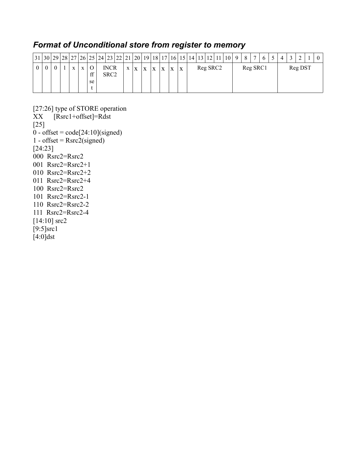### *Format of Unconditional store from register to memory*

|          |  |              |              |          |                                 |   |              |              |              |   |   |   |  |          |  |          | 7 <sup>1</sup> | 6 | $\overline{4}$ | $\sim$ |         | $\theta$ |
|----------|--|--------------|--------------|----------|---------------------------------|---|--------------|--------------|--------------|---|---|---|--|----------|--|----------|----------------|---|----------------|--------|---------|----------|
| $\theta$ |  | $\mathbf{v}$ | $\mathbf{X}$ | ff<br>se | <b>INCR</b><br>SRC <sub>2</sub> | X | $\mathbf{X}$ | $\mathbf{x}$ | $\mathbf{X}$ | X | X | X |  | Reg SRC2 |  | Reg SRC1 |                |   |                |        | Reg DST |          |

[27:26] type of STORE operation XX [Rsrc1+offset]=Rdst [25]  $\overline{0}$  - offset = code[24:10](signed) 1 - offset =  $Rsrc2$ (signed) [24:23] 000 Rsrc2=Rsrc2 001 Rsrc2=Rsrc2+1 010 Rsrc2=Rsrc2+2 011 Rsrc2=Rsrc2+4 100 Rsrc2=Rsrc2 101 Rsrc2=Rsrc2-1 110 Rsrc2=Rsrc2-2 111 Rsrc2=Rsrc2-4 [14:10] src2  $\overline{[9:5]}\text{src1}$ [4:0]dst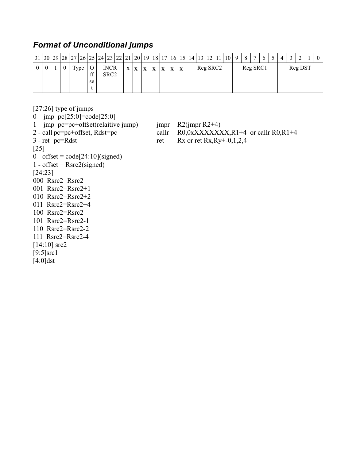## *Format of Unconditional jumps*

|  |  |      |    | $31\, 30\, 29\, 28\, 27\, 26\, 25\, 24\, 23\, 22\, 21\, 20\, 19\, 18\, 17\, 16\, 15\, 14\, 13\, 12\, 11\, 10\, 9\, 8\, 11\, 12\, 13\, 14\, 15\, 16\, 17\, 18\, 19\, 18\, 19\, 10\, 11\, 10\, 11\, 10\, 11\, 10\, 11\, 10\, 11$ |                                 |  |  |              |              |   |              |   |   |          |  |  |          | $\overline{7}$ | 6 | $\boldsymbol{\varDelta}$ |         |  |
|--|--|------|----|--------------------------------------------------------------------------------------------------------------------------------------------------------------------------------------------------------------------------------|---------------------------------|--|--|--------------|--------------|---|--------------|---|---|----------|--|--|----------|----------------|---|--------------------------|---------|--|
|  |  | Type | ££ |                                                                                                                                                                                                                                | <b>INCR</b><br>SRC <sub>2</sub> |  |  | $\mathbf{x}$ | $\mathbf{x}$ | X | $\mathbf{v}$ | X | X | Reg SRC2 |  |  | Reg SRC1 |                |   |                          | Reg DST |  |
|  |  |      | se |                                                                                                                                                                                                                                |                                 |  |  |              |              |   |              |   |   |          |  |  |          |                |   |                          |         |  |

[27:26] type of jumps

 $0 - \text{imp}$  pc[25:0]=code[25:0]

1 – jmp pc=pc+offset(relaitive jump) jmpr R2(jmpr R2+4)<br>2 - call pc=pc+offset, Rdst=pc callr R0,0xXXXXX

 $1 - \text{offset} = \text{Rsrc2}(\text{signed})$ 

000 Rsrc2=Rsrc2 001 Rsrc2=Rsrc2+1 010 Rsrc2=Rsrc2+2 011 Rsrc2=Rsrc2+4 100 Rsrc2=Rsrc2 101 Rsrc2=Rsrc2-1 110 Rsrc2=Rsrc2-2 111 Rsrc2=Rsrc2-4

[14:10] src2  $[9:5]$ src1 [4:0]dst

callr  $R0,0xXXXXXX,R1+4$  or callr R0,R1+4

 $3$  - ret pc=Rdst ret Rx or ret Rx,Ry+-0,1,2,4

[25]  $0 - \text{offset} = \text{code}[24:10](\text{signed})$ 

[24:23]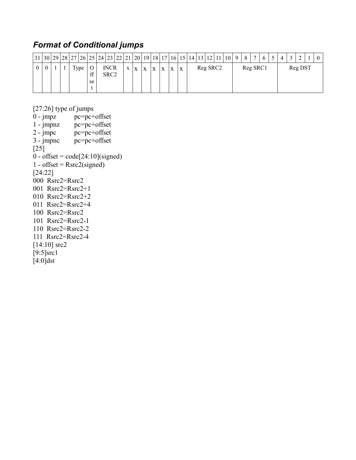## *Format of Conditional jumps*

|  |  |  |       |          | $31 30 29 28 27 26 25 24 23 22 21 20 19 18 17 16 15 14 13 12 11 10 $ |                                 |   |   |   |              |   |   |  |          | $\overline{Q}$ | 8        | $\overline{ }$ |  | $\boldsymbol{\Delta}$ | $\sim$ |         | $\theta$ |
|--|--|--|-------|----------|----------------------------------------------------------------------|---------------------------------|---|---|---|--------------|---|---|--|----------|----------------|----------|----------------|--|-----------------------|--------|---------|----------|
|  |  |  | 1 ype | ff<br>se |                                                                      | <b>INCR</b><br>SRC <sub>2</sub> | X | X | X | $\mathbf{X}$ | X | X |  | Reg SRC2 |                | Reg SRC1 |                |  |                       |        | Reg DST |          |

[27:26] type of jumps<br>0 - jmpz  $pc=pc+$ 

 $pc = pc + of fset$  $1 - \text{jmpnz}$  pc=pc+offset<br>2 - jmpc pc=pc+offset  $pc = pc + of fset$ 3 - jmpnc pc=pc+offset [25]  $0 - \text{offset} = \text{code}[24:10](\text{signed})$ 1 - offset =  $Rsrc2$ (signed) [24:22] 000 Rsrc2=Rsrc2 001 Rsrc2=Rsrc2+1 010 Rsrc2=Rsrc2+2 011 Rsrc2=Rsrc2+4 100 Rsrc2=Rsrc2 101 Rsrc2=Rsrc2-1 110 Rsrc2=Rsrc2-2 111 Rsrc2=Rsrc2-4 [14:10] src2  $[9:5]$ src1  $\overline{[4:0]}$ dst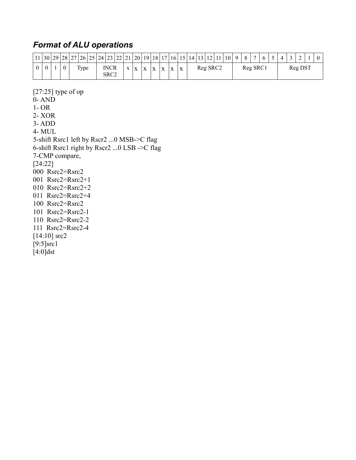### *Format of ALU operations*

[27:25] type of op

0- AND

|  |              |      | $31 30 29 28 27 26 25 24 23 22 21 20 19 18 17 16 15 14 13 12 11 $ |                     |              |              |                           |              |              |              |   |  |          | 10 <sup>1</sup> | $Q \mid$ | -8 | $\overline{ }$ |  |  |                     | $\overline{0}$ |
|--|--------------|------|-------------------------------------------------------------------|---------------------|--------------|--------------|---------------------------|--------------|--------------|--------------|---|--|----------|-----------------|----------|----|----------------|--|--|---------------------|----------------|
|  | $\mathbf{0}$ | Type |                                                                   | <b>INCR</b><br>SRC2 | $\mathbf{v}$ | $\mathbf{v}$ | $\mathbf{v}$<br>$\Lambda$ | $\mathbf{v}$ | $\mathbf{v}$ | $\mathbf{v}$ | X |  | Reg SRC2 |                 |          |    | Reg SRC1       |  |  | Reg DS <sub>1</sub> |                |

1- OR 2- XOR 3- ADD 4- MUL 5-shift Rsrc1 left by Rscr2 ...0 MSB->C flag 6-shift Rsrc1 right by Rscr2 ...0 LSB ->C flag 7-CMP compare, [24:22] 000 Rsrc2=Rsrc2 001 Rsrc2=Rsrc2+1 010 Rsrc2=Rsrc2+2 011 Rsrc2=Rsrc2+4 100 Rsrc2=Rsrc2 101 Rsrc2=Rsrc2-1 110 Rsrc2=Rsrc2-2 111 Rsrc2=Rsrc2-4  $[14:10]$  src2  $[9:5]$ src1  $\overline{[4:0]}$ dst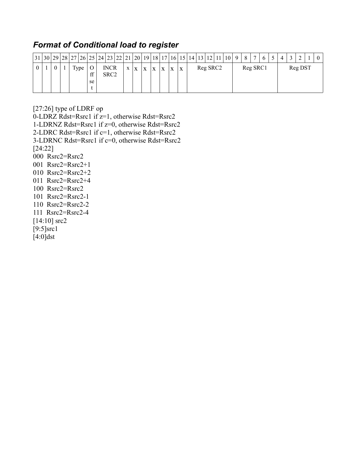#### *Format of Conditional load to register*

|  |          |  |       |          | $31 30 29 28 27 26 25 24 23 22 21 20 19 18 17 16 15 14 13 12 11 10 $ |                                 |              |   |   |   |              |   |   |  |          | $\vert$ 9 | $+8$ <sup><math>+</math></sup> | $\tau$ |  | $\boldsymbol{\varDelta}$ |         | $\theta$ |
|--|----------|--|-------|----------|----------------------------------------------------------------------|---------------------------------|--------------|---|---|---|--------------|---|---|--|----------|-----------|--------------------------------|--------|--|--------------------------|---------|----------|
|  | $\theta$ |  | l ype | ff<br>se |                                                                      | <b>INCR</b><br>SRC <sub>2</sub> | $\mathbf{X}$ | X | X | X | $\mathbf{X}$ | X | X |  | Reg SRC2 |           | Reg SRC1                       |        |  |                          | Reg DST |          |

[27:26] type of LDRF op

0-LDRZ Rdst=Rsrc1 if z=1, otherwise Rdst=Rsrc2

1-LDRNZ Rdst=Rsrc1 if z=0, otherwise Rdst=Rsrc2

2-LDRC Rdst=Rsrc1 if c=1, otherwise Rdst=Rsrc2

- 3-LDRNC Rdst=Rsrc1 if c=0, otherwise Rdst=Rsrc2
- [24:22]
- 000 Rsrc2=Rsrc2
- 001 Rsrc2=Rsrc2+1
- 010 Rsrc2=Rsrc2+2
- 011 Rsrc2=Rsrc2+4
- 100 Rsrc2=Rsrc2
- 101 Rsrc2=Rsrc2-1
- 110 Rsrc2=Rsrc2-2
- 111 Rsrc2=Rsrc2-4
- [14:10] src2
- $[9:5]$ src1
- [4:0]dst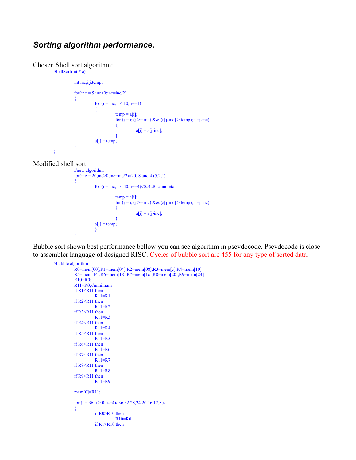#### *Sorting algorithm performance.*

#### Chosen Shell sort algorithm:

```
ShellSort(int * a)
{
           int inc,i,j,temp;
           for(inc = 5; inc > 0; inc = inc/2){
                        for (i = inc; i < 10; i++){
                                    temp = a[i];for (i = i; (i >= inc) & & (a[i-inc] > temp); i = i-inc){
                                               a[j] = a[j-inc];
                                    }
                       a[i] = temp;}
}
```
#### Modified shell sort

```
//new algorithm
for(inc = 20;inc>0;inc=inc/2)//20, 8 and 4 (5,2,1)
{
            for (i = inc; i < 40; i = 4)/0.4.8.c and etc
            {
                       temp = a[i];for (i = i; (i >= inc) & & (a[i-inc] > temp); i = i-inc){
                                   a[j] = a[j-inc];
                       }
            a[j] = temp;}
}
```
Bubble sort shown best performance bellow you can see algorithm in psevdocode. Psevdocode is close to assembler language of designed RISC. Cycles of bubble sort are 455 for any type of sorted data.

```
//bubble algorithm
         R0=mem[00],R1=mem[04],R2=mem[08],R3=mem[c],R4=mem[10]
         R5=mem[14],R6=mem[18],R7=mem[1c],R8=mem[20],R9=mem[24]
         R10=R0;
         R11=R0;//minimum
         if R1<R11 then
                   R11=R1
         if R2 < R11 then
                   R11=R2if R3<R11 then
                   R11=R3if R4 < R11 then
                   R11=R4
         if R5<R11 then
                   R11=R5if R6 < R11 then
                   R11=R6
         if R7 < R11 then
                   R11=R7
         if R8<R11 then
                   R11=R8
         if R9 < R11 then
                   R11=R9mem[0]=R11;
         for (i = 36; i > 0; i = 4)//36,32,28,24,20,16,12,8,4{
                   if R0>R10 then
                            R10=R0
                  if R1>R10 then
```